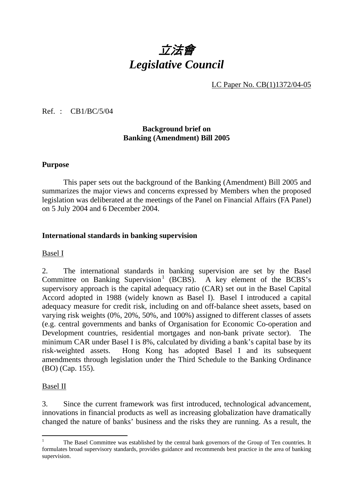

LC Paper No. CB(1)1372/04-05

Ref. : CB1/BC/5/04

### **Background brief on Banking (Amendment) Bill 2005**

#### **Purpose**

This paper sets out the background of the Banking (Amendment) Bill 2005 and summarizes the major views and concerns expressed by Members when the proposed legislation was deliberated at the meetings of the Panel on Financial Affairs (FA Panel) on 5 July 2004 and 6 December 2004.

### **International standards in banking supervision**

#### Basel I

2. The international standards in banking supervision are set by the Basel Committee on Banking Supervision<sup>1</sup> (BCBS). A key element of the BCBS's supervisory approach is the capital adequacy ratio (CAR) set out in the Basel Capital Accord adopted in 1988 (widely known as Basel I). Basel I introduced a capital adequacy measure for credit risk, including on and off-balance sheet assets, based on varying risk weights (0%, 20%, 50%, and 100%) assigned to different classes of assets (e.g. central governments and banks of Organisation for Economic Co-operation and Development countries, residential mortgages and non-bank private sector). The minimum CAR under Basel I is 8%, calculated by dividing a bank's capital base by its risk-weighted assets. Hong Kong has adopted Basel I and its subsequent amendments through legislation under the Third Schedule to the Banking Ordinance (BO) (Cap. 155).

#### Basel II

3. Since the current framework was first introduced, technological advancement, innovations in financial products as well as increasing globalization have dramatically changed the nature of banks' business and the risks they are running. As a result, the

 $\overline{a}$ 1 The Basel Committee was established by the central bank governors of the Group of Ten countries. It formulates broad supervisory standards, provides guidance and recommends best practice in the area of banking supervision.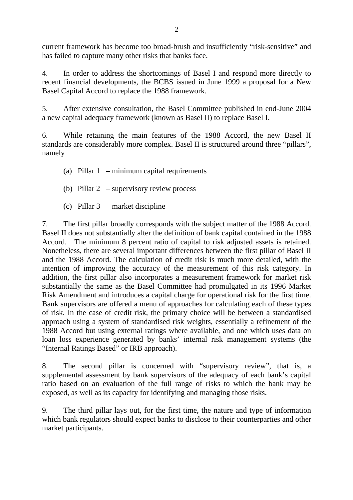current framework has become too broad-brush and insufficiently "risk-sensitive" and has failed to capture many other risks that banks face.

4. In order to address the shortcomings of Basel I and respond more directly to recent financial developments, the BCBS issued in June 1999 a proposal for a New Basel Capital Accord to replace the 1988 framework.

5. After extensive consultation, the Basel Committee published in end-June 2004 a new capital adequacy framework (known as Basel II) to replace Basel I.

6. While retaining the main features of the 1988 Accord, the new Basel II standards are considerably more complex. Basel II is structured around three "pillars", namely

- (a) Pillar 1 minimum capital requirements
- (b) Pillar 2 supervisory review process
- (c) Pillar 3 market discipline

7. The first pillar broadly corresponds with the subject matter of the 1988 Accord. Basel II does not substantially alter the definition of bank capital contained in the 1988 Accord. The minimum 8 percent ratio of capital to risk adjusted assets is retained. Nonetheless, there are several important differences between the first pillar of Basel II and the 1988 Accord. The calculation of credit risk is much more detailed, with the intention of improving the accuracy of the measurement of this risk category. In addition, the first pillar also incorporates a measurement framework for market risk substantially the same as the Basel Committee had promulgated in its 1996 Market Risk Amendment and introduces a capital charge for operational risk for the first time. Bank supervisors are offered a menu of approaches for calculating each of these types of risk. In the case of credit risk, the primary choice will be between a standardised approach using a system of standardised risk weights, essentially a refinement of the 1988 Accord but using external ratings where available, and one which uses data on loan loss experience generated by banks' internal risk management systems (the "Internal Ratings Based" or IRB approach).

8. The second pillar is concerned with "supervisory review", that is, a supplemental assessment by bank supervisors of the adequacy of each bank's capital ratio based on an evaluation of the full range of risks to which the bank may be exposed, as well as its capacity for identifying and managing those risks.

9. The third pillar lays out, for the first time, the nature and type of information which bank regulators should expect banks to disclose to their counterparties and other market participants.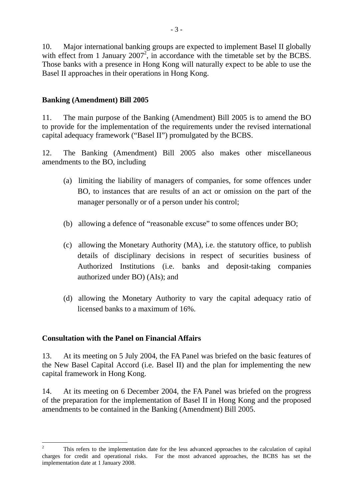10. Major international banking groups are expected to implement Basel II globally with effect from 1 January  $2007^2$ , in accordance with the timetable set by the BCBS. Those banks with a presence in Hong Kong will naturally expect to be able to use the Basel II approaches in their operations in Hong Kong.

# **Banking (Amendment) Bill 2005**

11. The main purpose of the Banking (Amendment) Bill 2005 is to amend the BO to provide for the implementation of the requirements under the revised international capital adequacy framework ("Basel II") promulgated by the BCBS.

12. The Banking (Amendment) Bill 2005 also makes other miscellaneous amendments to the BO, including

- (a) limiting the liability of managers of companies, for some offences under BO, to instances that are results of an act or omission on the part of the manager personally or of a person under his control;
- (b) allowing a defence of "reasonable excuse" to some offences under BO;
- (c) allowing the Monetary Authority (MA), i.e. the statutory office, to publish details of disciplinary decisions in respect of securities business of Authorized Institutions (i.e. banks and deposit-taking companies authorized under BO) (AIs); and
- (d) allowing the Monetary Authority to vary the capital adequacy ratio of licensed banks to a maximum of 16%.

## **Consultation with the Panel on Financial Affairs**

13. At its meeting on 5 July 2004, the FA Panel was briefed on the basic features of the New Basel Capital Accord (i.e. Basel II) and the plan for implementing the new capital framework in Hong Kong.

14. At its meeting on 6 December 2004, the FA Panel was briefed on the progress of the preparation for the implementation of Basel II in Hong Kong and the proposed amendments to be contained in the Banking (Amendment) Bill 2005.

 $\frac{1}{2}$  This refers to the implementation date for the less advanced approaches to the calculation of capital charges for credit and operational risks. For the most advanced approaches, the BCBS has set the implementation date at 1 January 2008.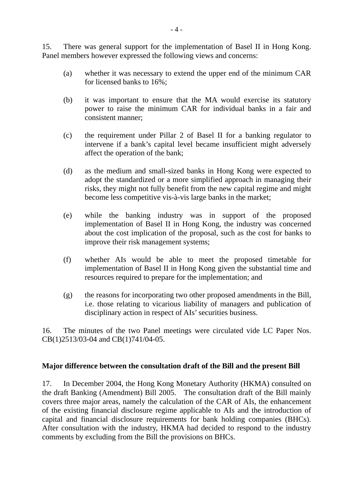15. There was general support for the implementation of Basel II in Hong Kong. Panel members however expressed the following views and concerns:

- (a) whether it was necessary to extend the upper end of the minimum CAR for licensed banks to 16%;
- (b) it was important to ensure that the MA would exercise its statutory power to raise the minimum CAR for individual banks in a fair and consistent manner;
- (c) the requirement under Pillar 2 of Basel II for a banking regulator to intervene if a bank's capital level became insufficient might adversely affect the operation of the bank;
- (d) as the medium and small-sized banks in Hong Kong were expected to adopt the standardized or a more simplified approach in managing their risks, they might not fully benefit from the new capital regime and might become less competitive vis-à-vis large banks in the market;
- (e) while the banking industry was in support of the proposed implementation of Basel II in Hong Kong, the industry was concerned about the cost implication of the proposal, such as the cost for banks to improve their risk management systems;
- (f) whether AIs would be able to meet the proposed timetable for implementation of Basel II in Hong Kong given the substantial time and resources required to prepare for the implementation; and
- (g) the reasons for incorporating two other proposed amendments in the Bill, i.e. those relating to vicarious liability of managers and publication of disciplinary action in respect of AIs' securities business.

16. The minutes of the two Panel meetings were circulated vide LC Paper Nos. CB(1)2513/03-04 and CB(1)741/04-05.

## **Major difference between the consultation draft of the Bill and the present Bill**

17. In December 2004, the Hong Kong Monetary Authority (HKMA) consulted on the draft Banking (Amendment) Bill 2005. The consultation draft of the Bill mainly covers three major areas, namely the calculation of the CAR of AIs, the enhancement of the existing financial disclosure regime applicable to AIs and the introduction of capital and financial disclosure requirements for bank holding companies (BHCs). After consultation with the industry, HKMA had decided to respond to the industry comments by excluding from the Bill the provisions on BHCs.